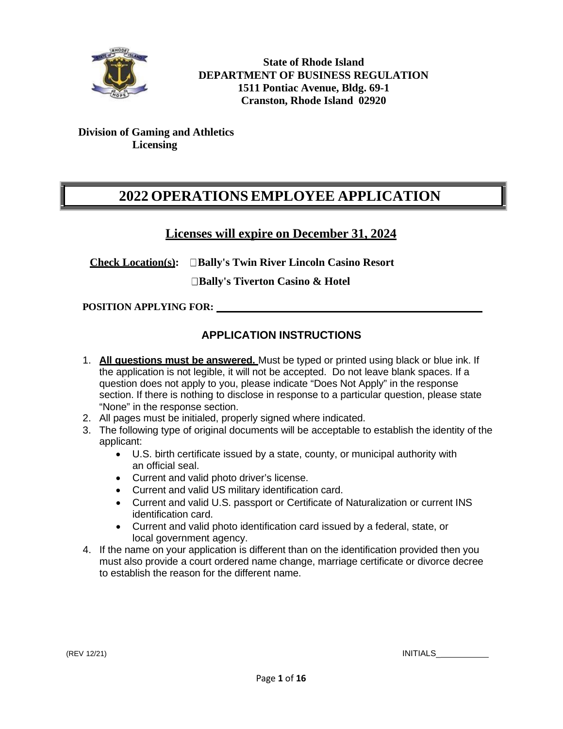

**State of Rhode Island DEPARTMENT OF BUSINESS REGULATION 1511 Pontiac Avenue, Bldg. 69-1 Cranston, Rhode Island 02920**

## **Division of Gaming and Athletics Licensing**

# **2022 OPERATIONS EMPLOYEE APPLICATION**

## **Licenses will expire on December 31, 2024**

**Check Location(s): Bally's Twin River Lincoln Casino Resort**

**Bally's Tiverton Casino & Hotel**

**POSITION APPLYING FOR:**

## **APPLICATION INSTRUCTIONS**

- 1. **All questions must be answered.** Must be typed or printed using black or blue ink. If the application is not legible, it will not be accepted. Do not leave blank spaces. If a question does not apply to you, please indicate "Does Not Apply" in the response section. If there is nothing to disclose in response to a particular question, please state "None" in the response section.
- 2. All pages must be initialed, properly signed where indicated.
- 3. The following type of original documents will be acceptable to establish the identity of the applicant:
	- U.S. birth certificate issued by a state, county, or municipal authority with an official seal.
	- Current and valid photo driver's license.
	- Current and valid US military identification card.
	- Current and valid U.S. passport or Certificate of Naturalization or current INS identification card.
	- Current and valid photo identification card issued by a federal, state, or local government agency.
- 4. If the name on your application is different than on the identification provided then you must also provide a court ordered name change, marriage certificate or divorce decree to establish the reason for the different name.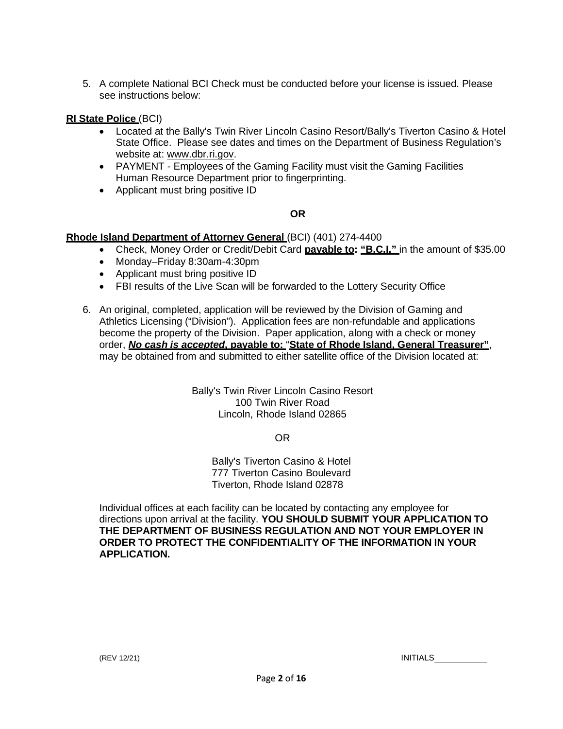5. A complete National BCI Check must be conducted before your license is issued. Please see instructions below:

### **RI State Police** (BCI)

- Located at the Bally's Twin River Lincoln Casino Resort/Bally's Tiverton Casino & Hotel State Office. Please see dates and times on the Department of Business Regulation's website at: [www.dbr.ri.gov.](http://www.dbr.ri.gov/)
- PAYMENT Employees of the Gaming Facility must visit the Gaming Facilities Human Resource Department prior to fingerprinting.
- Applicant must bring positive ID

## **OR**

### **Rhode Island Department of Attorney General** (BCI) (401) 274-4400

- Check, Money Order or Credit/Debit Card **payable to: "B.C.I."** in the amount of \$35.00
- Monday–Friday 8:30am-4:30pm
- Applicant must bring positive ID
- FBI results of the Live Scan will be forwarded to the Lottery Security Office
- 6. An original, completed, application will be reviewed by the Division of Gaming and Athletics Licensing ("Division"). Application fees are non-refundable and applications become the property of the Division. Paper application, along with a check or money order, *No cash is accepted***, payable to:** "**State of Rhode Island, General Treasurer"**, may be obtained from and submitted to either satellite office of the Division located at:

Bally's Twin River Lincoln Casino Resort 100 Twin River Road Lincoln, Rhode Island 02865

OR

Bally's Tiverton Casino & Hotel 777 Tiverton Casino Boulevard Tiverton, Rhode Island 02878

Individual offices at each facility can be located by contacting any employee for directions upon arrival at the facility. **YOU SHOULD SUBMIT YOUR APPLICATION TO THE DEPARTMENT OF BUSINESS REGULATION AND NOT YOUR EMPLOYER IN ORDER TO PROTECT THE CONFIDENTIALITY OF THE INFORMATION IN YOUR APPLICATION.**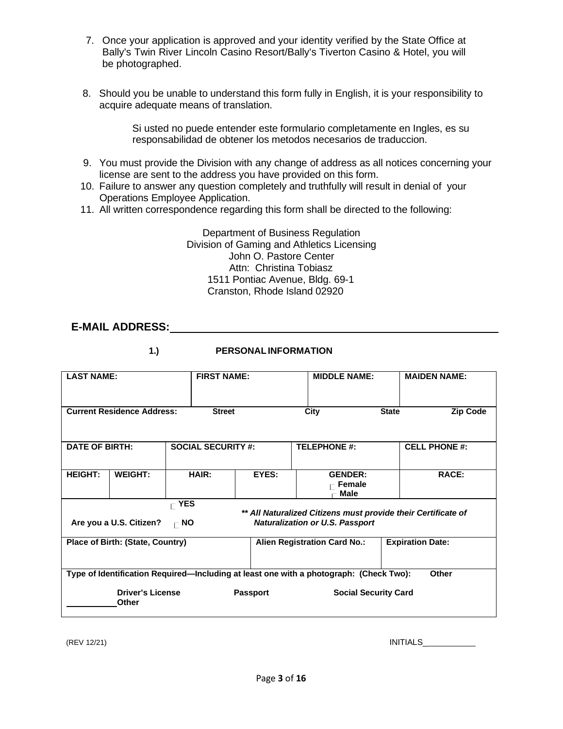- 7. Once your application is approved and your identity verified by the State Office at Bally's Twin River Lincoln Casino Resort/Bally's Tiverton Casino & Hotel, you will be photographed.
- 8. Should you be unable to understand this form fully in English, it is your responsibility to acquire adequate means of translation.

Si usted no puede entender este formulario completamente en Ingles, es su responsabilidad de obtener los metodos necesarios de traduccion.

- 9. You must provide the Division with any change of address as all notices concerning your license are sent to the address you have provided on this form.
- 10. Failure to answer any question completely and truthfully will result in denial of your Operations Employee Application.
- 11. All written correspondence regarding this form shall be directed to the following:

Department of Business Regulation Division of Gaming and Athletics Licensing John O. Pastore Center Attn: Christina Tobiasz 1511 Pontiac Avenue, Bldg. 69-1 Cranston, Rhode Island 02920

## **E-MAIL ADDRESS:**

| ۰. |   |
|----|---|
|    | I |

## **1.) PERSONALINFORMATION**

| <b>LAST NAME:</b>     |                                         | <b>FIRST NAME:</b>                   |                           | <b>MIDDLE NAME:</b> |                                                                                                         |              | <b>MAIDEN NAME:</b>     |
|-----------------------|-----------------------------------------|--------------------------------------|---------------------------|---------------------|---------------------------------------------------------------------------------------------------------|--------------|-------------------------|
|                       | <b>Current Residence Address:</b>       |                                      | <b>Street</b>             |                     | City                                                                                                    | <b>State</b> | Zip Code                |
| <b>DATE OF BIRTH:</b> |                                         |                                      | <b>SOCIAL SECURITY #:</b> |                     | <b>TELEPHONE #:</b>                                                                                     |              | <b>CELL PHONE #:</b>    |
| <b>HEIGHT:</b>        | <b>WEIGHT:</b>                          |                                      | HAIR:                     | EYES:               | <b>GENDER:</b><br>Female<br><b>Male</b>                                                                 |              | <b>RACE:</b>            |
|                       | Are you a U.S. Citizen?                 | $\mathsf{\Gamma}$ YES<br>$\Gamma$ NO |                           |                     | ** All Naturalized Citizens must provide their Certificate of<br><b>Naturalization or U.S. Passport</b> |              |                         |
|                       | <b>Place of Birth: (State, Country)</b> |                                      |                           |                     | <b>Alien Registration Card No.:</b>                                                                     |              | <b>Expiration Date:</b> |
|                       |                                         |                                      |                           |                     | Type of Identification Required—Including at least one with a photograph: (Check Two):                  |              | Other                   |
|                       | <b>Driver's License</b><br>Other        |                                      |                           | <b>Passport</b>     | <b>Social Security Card</b>                                                                             |              |                         |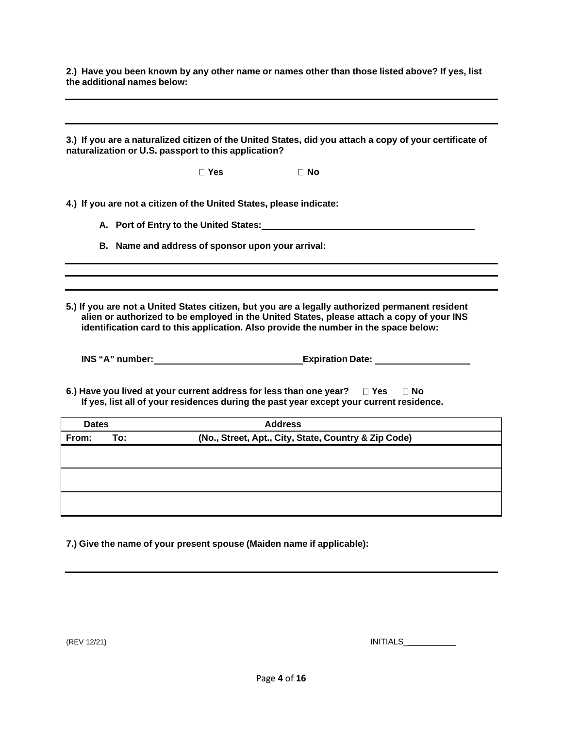2.) Have you been known by any other name or names other than those listed above? If yes, list **the additional names below:**

3.) If you are a naturalized citizen of the United States, did you attach a copy of your certificate of **naturalization or U.S. passport to this application? Yes No 4.) If you are not a citizen of the United States, please indicate: A. Port of Entry to the United States: B. Name and address of sponsor upon your arrival: 5.) If you are not a United States citizen, but you are a legally authorized permanent resident alien or authorized to be employed in the United States, please attach a copy of your INS identification card to this application. Also provide the number in the space below: INS "A" number: Expiration Date: 6.) Have you lived at your current address for less than one year? Yes No If yes, list all of your residences during the past year except your current residence. Dates Address From: To: (No., Street, Apt., City, State, Country & Zip Code)**

**7.) Give the name of your present spouse (Maiden name if applicable):**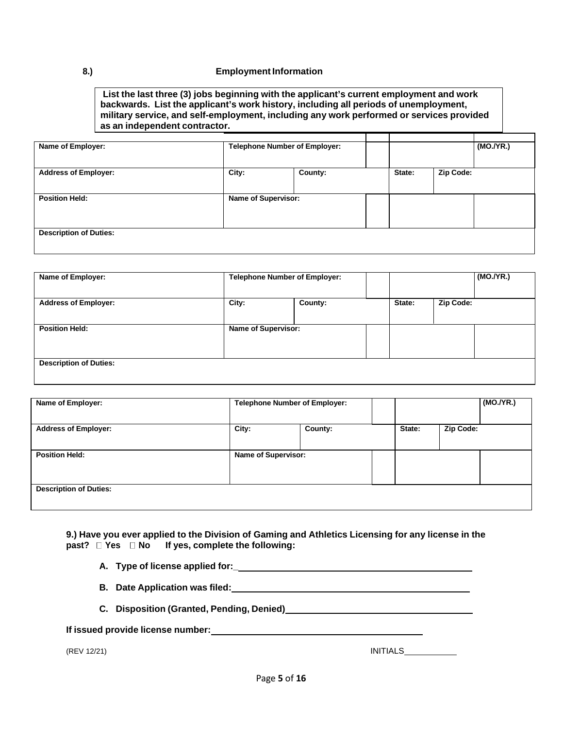#### **8.) Employment Information**

**List the last three (3) jobs beginning with the applicant's current employment and work backwards. List the applicant's work history, including all periods of unemployment, military service, and self-employment, including any work performed or services provided as an independent contractor.**

| Name of Employer:             | <b>Telephone Number of Employer:</b> |                |        |           | (MO./YR.) |
|-------------------------------|--------------------------------------|----------------|--------|-----------|-----------|
| <b>Address of Employer:</b>   | City:                                | <b>County:</b> | State: | Zip Code: |           |
| <b>Position Held:</b>         | <b>Name of Supervisor:</b>           |                |        |           |           |
| <b>Description of Duties:</b> |                                      |                |        |           |           |

| Name of Employer:             | <b>Telephone Number of Employer:</b> |                |        |           | (MO./YR.) |
|-------------------------------|--------------------------------------|----------------|--------|-----------|-----------|
| <b>Address of Employer:</b>   | City:                                | <b>County:</b> | State: | Zip Code: |           |
| <b>Position Held:</b>         | <b>Name of Supervisor:</b>           |                |        |           |           |
| <b>Description of Duties:</b> |                                      |                |        |           |           |

| Name of Employer:             | <b>Telephone Number of Employer:</b> |                |        |           | (MO.Y'R.) |
|-------------------------------|--------------------------------------|----------------|--------|-----------|-----------|
| <b>Address of Employer:</b>   | City:                                | <b>County:</b> | State: | Zip Code: |           |
| <b>Position Held:</b>         | <b>Name of Supervisor:</b>           |                |        |           |           |
| <b>Description of Duties:</b> |                                      |                |        |           |           |

**9.) Have you ever applied to the Division of Gaming and Athletics Licensing for any license in the past? Yes No If yes, complete the following:**

- **A. Type of license applied for:\_**
- **B. Date Application was filed:**
- **C. Disposition (Granted, Pending, Denied)**

|  |  |  |  | If issued provide license number: |
|--|--|--|--|-----------------------------------|
|--|--|--|--|-----------------------------------|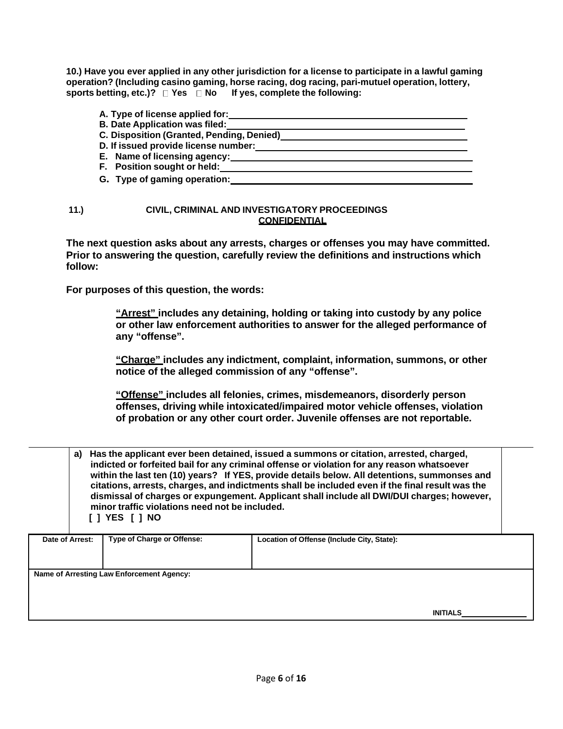10.) Have you ever applied in any other jurisdiction for a license to participate in a lawful gaming **operation? (Including casino gaming, horse racing, dog racing, pari-mutuel operation, lottery, sports betting, etc.)? Yes No If yes, complete the following:**

| A. Type of license applied for:           |  |
|-------------------------------------------|--|
| <b>B. Date Application was filed:</b>     |  |
| C. Disposition (Granted, Pending, Denied) |  |
| D. If issued provide license number:      |  |
| E. Name of licensing agency:              |  |
| F. Position sought or held:               |  |
| G. Type of gaming operation:              |  |

### **11.) CIVIL, CRIMINAL AND INVESTIGATORY PROCEEDINGS CONFIDENTIAL**

**The next question asks about any arrests, charges or offenses you may have committed. Prior to answering the question, carefully review the definitions and instructions which follow:**

**For purposes of this question, the words:**

**"Arrest" includes any detaining, holding or taking into custody by any police or other law enforcement authorities to answer for the alleged performance of any "offense".**

**"Charge" includes any indictment, complaint, information, summons, or other notice of the alleged commission of any "offense".**

**"Offense" includes all felonies, crimes, misdemeanors, disorderly person offenses, driving while intoxicated/impaired motor vehicle offenses, violation of probation or any other court order. Juvenile offenses are not reportable.**

| a)              | minor traffic violations need not be included.<br>IIYES IINO | Has the applicant ever been detained, issued a summons or citation, arrested, charged,<br>indicted or forfeited bail for any criminal offense or violation for any reason whatsoever<br>within the last ten (10) years? If YES, provide details below. All detentions, summonses and<br>citations, arrests, charges, and indictments shall be included even if the final result was the<br>dismissal of charges or expungement. Applicant shall include all DWI/DUI charges; however, |  |
|-----------------|--------------------------------------------------------------|---------------------------------------------------------------------------------------------------------------------------------------------------------------------------------------------------------------------------------------------------------------------------------------------------------------------------------------------------------------------------------------------------------------------------------------------------------------------------------------|--|
| Date of Arrest: | <b>Type of Charge or Offense:</b>                            | Location of Offense (Include City, State):                                                                                                                                                                                                                                                                                                                                                                                                                                            |  |
|                 |                                                              |                                                                                                                                                                                                                                                                                                                                                                                                                                                                                       |  |
|                 | Name of Arresting Law Enforcement Agency:                    |                                                                                                                                                                                                                                                                                                                                                                                                                                                                                       |  |
|                 |                                                              |                                                                                                                                                                                                                                                                                                                                                                                                                                                                                       |  |
|                 |                                                              | <b>INITIALS</b>                                                                                                                                                                                                                                                                                                                                                                                                                                                                       |  |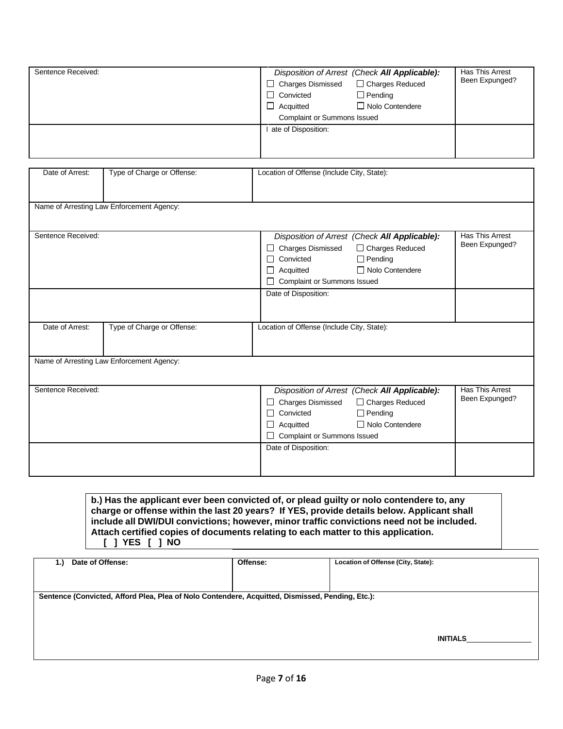| Sentence Received: | $\Box$ Charges Dismissed<br>$\Box$ Convicted<br>$\Box$ Acquitted<br><b>Complaint or Summons Issued</b> | Disposition of Arrest (Check All Applicable):<br>□ Charges Reduced<br>$\Box$ Pending<br>□ Nolo Contendere | Has This Arrest<br>Been Expunged? |
|--------------------|--------------------------------------------------------------------------------------------------------|-----------------------------------------------------------------------------------------------------------|-----------------------------------|
|                    | ate of Disposition:                                                                                    |                                                                                                           |                                   |

| Date of Arrest:    | Type of Charge or Offense:                | Location of Offense (Include City, State):                              |                                   |
|--------------------|-------------------------------------------|-------------------------------------------------------------------------|-----------------------------------|
|                    |                                           |                                                                         |                                   |
|                    | Name of Arresting Law Enforcement Agency: |                                                                         |                                   |
|                    |                                           |                                                                         |                                   |
| Sentence Received: |                                           |                                                                         | Has This Arrest                   |
|                    |                                           | Disposition of Arrest (Check All Applicable):                           | Been Expunged?                    |
|                    |                                           | □ Charges Dismissed<br>□ Charges Reduced<br>$\Box$ Pending<br>Convicted |                                   |
|                    |                                           | □ Nolo Contendere<br>Acquitted                                          |                                   |
|                    |                                           | <b>Complaint or Summons Issued</b>                                      |                                   |
|                    |                                           | Date of Disposition:                                                    |                                   |
|                    |                                           |                                                                         |                                   |
|                    |                                           |                                                                         |                                   |
| Date of Arrest:    | Type of Charge or Offense:                | Location of Offense (Include City, State):                              |                                   |
|                    |                                           |                                                                         |                                   |
|                    | Name of Arresting Law Enforcement Agency: |                                                                         |                                   |
|                    |                                           |                                                                         |                                   |
|                    |                                           |                                                                         |                                   |
| Sentence Received: |                                           | Disposition of Arrest (Check All Applicable):                           | Has This Arrest<br>Been Expunged? |
|                    |                                           | □ Charges Reduced<br>□ Charges Dismissed                                |                                   |
|                    |                                           | $\Box$ Pending<br>Convicted<br>□ Nolo Contendere<br>Acquitted           |                                   |
|                    |                                           | <b>Complaint or Summons Issued</b>                                      |                                   |
|                    |                                           | Date of Disposition:                                                    |                                   |
|                    |                                           |                                                                         |                                   |
|                    |                                           |                                                                         |                                   |

**b.) Has the applicant ever been convicted of, or plead guilty or nolo contendere to, any charge or offense within the last 20 years? If YES, provide details below. Applicant shall include all DWI/DUI convictions; however, minor traffic convictions need not be included. Attach certified copies of documents relating to each matter to this application. [ ] YES [ ] NO**

| 1.) | Date of Offense:                                                                                 | Offense: | Location of Offense (City, State): |          |
|-----|--------------------------------------------------------------------------------------------------|----------|------------------------------------|----------|
|     |                                                                                                  |          |                                    |          |
|     |                                                                                                  |          |                                    |          |
|     | Sentence (Convicted, Afford Plea, Plea of Nolo Contendere, Acquitted, Dismissed, Pending, Etc.): |          |                                    |          |
|     |                                                                                                  |          |                                    |          |
|     |                                                                                                  |          |                                    |          |
|     |                                                                                                  |          |                                    |          |
|     |                                                                                                  |          |                                    | INITIALS |
|     |                                                                                                  |          |                                    |          |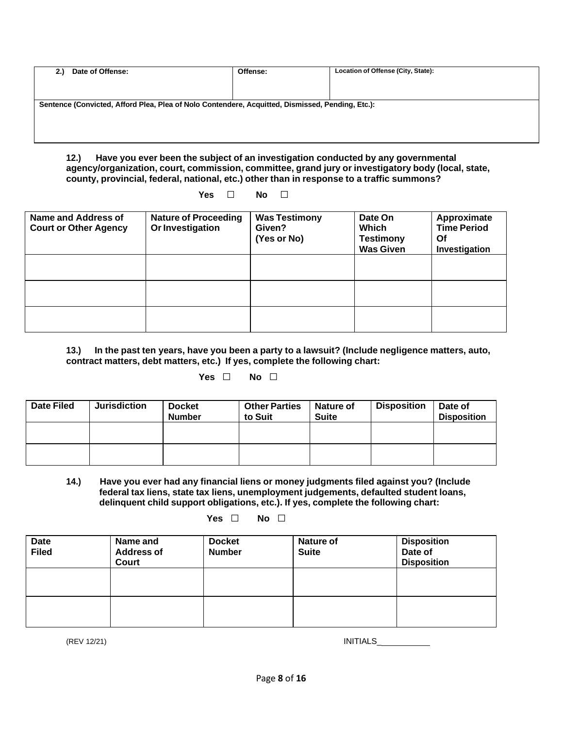| Offense:                                                                                         | Location of Offense (City, State): |
|--------------------------------------------------------------------------------------------------|------------------------------------|
|                                                                                                  |                                    |
| Sentence (Convicted, Afford Plea, Plea of Nolo Contendere, Acquitted, Dismissed, Pending, Etc.): |                                    |
|                                                                                                  |                                    |
|                                                                                                  |                                    |
|                                                                                                  |                                    |

**12.) Have you ever been the subject of an investigation conducted by any governmental agency/organization, court, commission, committee, grand jury or investigatory body (local, state, county, provincial, federal, national, etc.) other than in response to a traffic summons?**

**Yes □ No □**

| Name and Address of<br><b>Court or Other Agency</b> | <b>Nature of Proceeding</b><br>Or Investigation | <b>Was Testimony</b><br>Given?<br>(Yes or No) | Date On<br>Which<br><b>Testimony</b><br><b>Was Given</b> | Approximate<br><b>Time Period</b><br><b>Of</b><br>Investigation |
|-----------------------------------------------------|-------------------------------------------------|-----------------------------------------------|----------------------------------------------------------|-----------------------------------------------------------------|
|                                                     |                                                 |                                               |                                                          |                                                                 |
|                                                     |                                                 |                                               |                                                          |                                                                 |
|                                                     |                                                 |                                               |                                                          |                                                                 |

**13.) In the past ten years, have you been a party to a lawsuit? (Include negligence matters, auto, contract matters, debt matters, etc.) If yes, complete the following chart:**

## **Yes □ No □**

| <b>Date Filed</b> | <b>Jurisdiction</b> | <b>Docket</b><br><b>Number</b> | <b>Other Parties</b><br>to Suit | Nature of<br><b>Suite</b> | <b>Disposition</b> | Date of<br><b>Disposition</b> |
|-------------------|---------------------|--------------------------------|---------------------------------|---------------------------|--------------------|-------------------------------|
|                   |                     |                                |                                 |                           |                    |                               |
|                   |                     |                                |                                 |                           |                    |                               |

**14.) Have you ever had any financial liens or money judgments filed against you? (Include federal tax liens, state tax liens, unemployment judgements, defaulted student loans, delinquent child support obligations, etc.). If yes, complete the following chart:**

**Yes □ No □**

| <b>Date</b><br><b>Filed</b> | Name and<br><b>Address of</b><br>Court | <b>Docket</b><br><b>Number</b> | <b>Nature of</b><br><b>Suite</b> | <b>Disposition</b><br>Date of<br><b>Disposition</b> |
|-----------------------------|----------------------------------------|--------------------------------|----------------------------------|-----------------------------------------------------|
|                             |                                        |                                |                                  |                                                     |
|                             |                                        |                                |                                  |                                                     |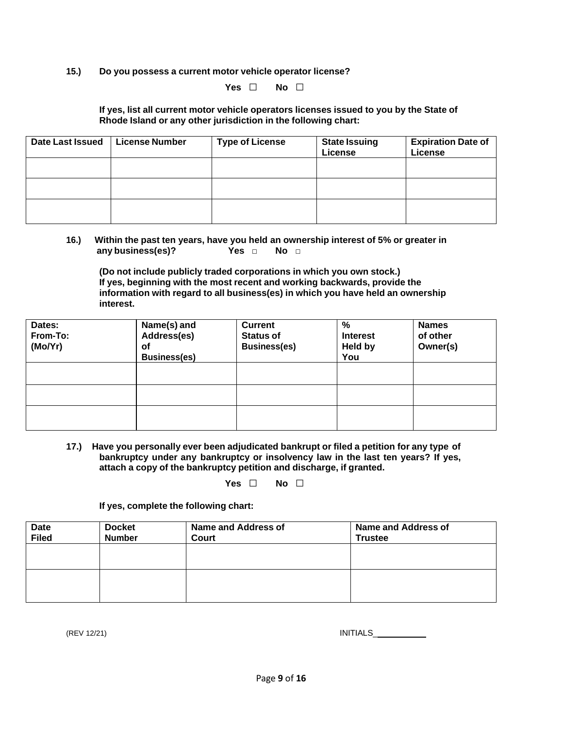**15.) Do you possess a current motor vehicle operator license?**

#### **Yes □ No □**

#### **If yes, list all current motor vehicle operators licenses issued to you by the State of Rhode Island or any other jurisdiction in the following chart:**

| <b>Date Last Issued</b> | <b>License Number</b> | <b>Type of License</b> | <b>State Issuing</b><br>License | <b>Expiration Date of</b><br>License |
|-------------------------|-----------------------|------------------------|---------------------------------|--------------------------------------|
|                         |                       |                        |                                 |                                      |
|                         |                       |                        |                                 |                                      |
|                         |                       |                        |                                 |                                      |

#### **16.) Within the past ten years, have you held an ownership interest of 5% or greater in any business(es)? Yes □ No □**

**(Do not include publicly traded corporations in which you own stock.) If yes, beginning with the most recent and working backwards, provide the information with regard to all business(es) in which you have held an ownership interest.**

| Dates:<br>From-To:<br>(Mo/Yr) | Name(s) and<br>Address(es)<br>оf<br><b>Business(es)</b> | <b>Current</b><br><b>Status of</b><br><b>Business(es)</b> | %<br><b>Interest</b><br><b>Held by</b><br>You | <b>Names</b><br>of other<br>Owner(s) |
|-------------------------------|---------------------------------------------------------|-----------------------------------------------------------|-----------------------------------------------|--------------------------------------|
|                               |                                                         |                                                           |                                               |                                      |
|                               |                                                         |                                                           |                                               |                                      |
|                               |                                                         |                                                           |                                               |                                      |

**17.) Have you personally ever been adjudicated bankrupt or filed a petition for any type of bankruptcy under any bankruptcy or insolvency law in the last ten years? If yes, attach a copy of the bankruptcy petition and discharge, if granted.**

**Yes □ No □**

**If yes, complete the following chart:**

| <b>Date</b><br><b>Filed</b> | <b>Docket</b><br><b>Number</b> | <b>Name and Address of</b><br>Court | Name and Address of<br><b>Trustee</b> |
|-----------------------------|--------------------------------|-------------------------------------|---------------------------------------|
|                             |                                |                                     |                                       |
|                             |                                |                                     |                                       |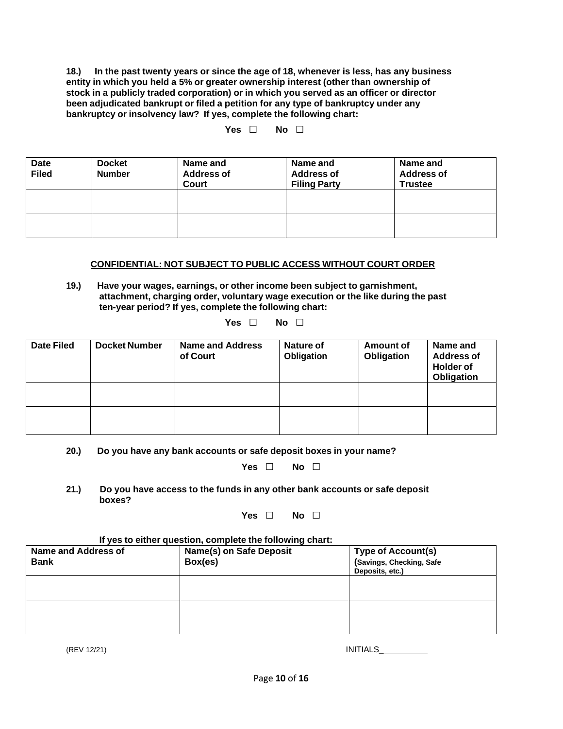**18.) In the past twenty years or since the age of 18, whenever is less, has any business entity in which you held a 5% or greater ownership interest (other than ownership of stock in a publicly traded corporation) or in which you served as an officer or director been adjudicated bankrupt or filed a petition for any type of bankruptcy under any bankruptcy or insolvency law? If yes, complete the following chart:**

### **Yes □ No □**

| Date<br><b>Filed</b> | <b>Docket</b><br><b>Number</b> | Name and<br><b>Address of</b><br>Court | Name and<br><b>Address of</b><br><b>Filing Party</b> | Name and<br><b>Address of</b><br><b>Trustee</b> |
|----------------------|--------------------------------|----------------------------------------|------------------------------------------------------|-------------------------------------------------|
|                      |                                |                                        |                                                      |                                                 |
|                      |                                |                                        |                                                      |                                                 |

#### **CONFIDENTIAL: NOT SUBJECT TO PUBLIC ACCESS WITHOUT COURT ORDER**

**19.) Have your wages, earnings, or other income been subject to garnishment, attachment, charging order, voluntary wage execution or the like during the past ten-year period? If yes, complete the following chart:**

| Yes | No. |  |
|-----|-----|--|
|     |     |  |

| <b>Date Filed</b> | <b>Docket Number</b> | <b>Name and Address</b><br>of Court | Nature of<br>Obligation | <b>Amount of</b><br>Obligation | Name and<br><b>Address of</b><br><b>Holder of</b><br>Obligation |
|-------------------|----------------------|-------------------------------------|-------------------------|--------------------------------|-----------------------------------------------------------------|
|                   |                      |                                     |                         |                                |                                                                 |
|                   |                      |                                     |                         |                                |                                                                 |

#### **20.) Do you have any bank accounts or safe deposit boxes in your name?**

#### **Yes □ No □**

**21.) Do you have access to the funds in any other bank accounts or safe deposit boxes?**

#### **Yes □ No □**

#### **If yes to either question, complete the following chart:**

| <b>Name and Address of</b><br><b>Bank</b> | Name(s) on Safe Deposit<br>Box(es) | <b>Type of Account(s)</b><br>(Savings, Checking, Safe<br>Deposits, etc.) |
|-------------------------------------------|------------------------------------|--------------------------------------------------------------------------|
|                                           |                                    |                                                                          |
|                                           |                                    |                                                                          |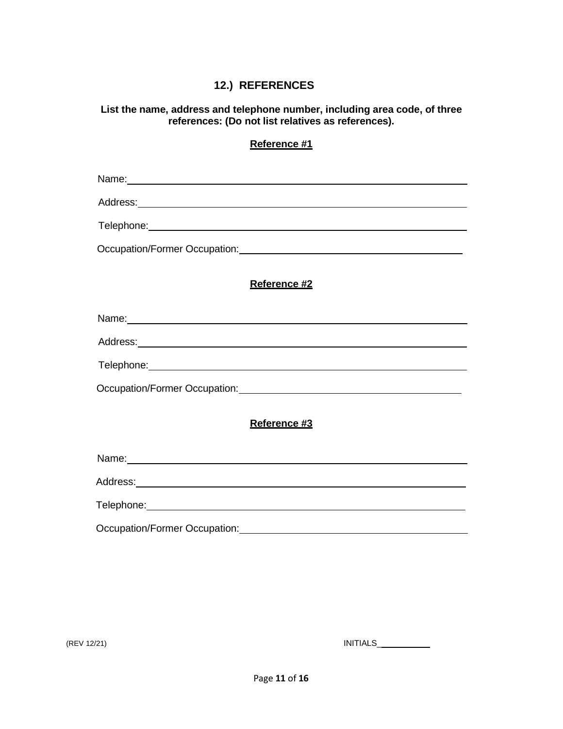## **12.) REFERENCES**

**List the name, address and telephone number, including area code, of three references: (Do not list relatives as references).**

|                               | Reference #1                                                                                                                                                                                                                         |
|-------------------------------|--------------------------------------------------------------------------------------------------------------------------------------------------------------------------------------------------------------------------------------|
|                               |                                                                                                                                                                                                                                      |
|                               |                                                                                                                                                                                                                                      |
|                               | Telephone: <u>www.community.community.community.community.com</u>                                                                                                                                                                    |
|                               | Occupation/Former Occupation: Canadian Content of Content of Content of Content of Content of Content of Content of Content of Content of Content of Content of Content of Content of Content of Content of Content of Content       |
|                               | Reference #2                                                                                                                                                                                                                         |
|                               |                                                                                                                                                                                                                                      |
|                               |                                                                                                                                                                                                                                      |
|                               | Telephone: <u>www.community.com/inductors/inductors/inductors/inductors/inductors/inductors/inductors/inductors/inductors/inductors/inductors/inductors/inductors/inductors/inductors/inductors/inductors/inductors/inductors/in</u> |
|                               |                                                                                                                                                                                                                                      |
|                               | Reference #3                                                                                                                                                                                                                         |
|                               |                                                                                                                                                                                                                                      |
|                               |                                                                                                                                                                                                                                      |
|                               |                                                                                                                                                                                                                                      |
| Occupation/Former Occupation: |                                                                                                                                                                                                                                      |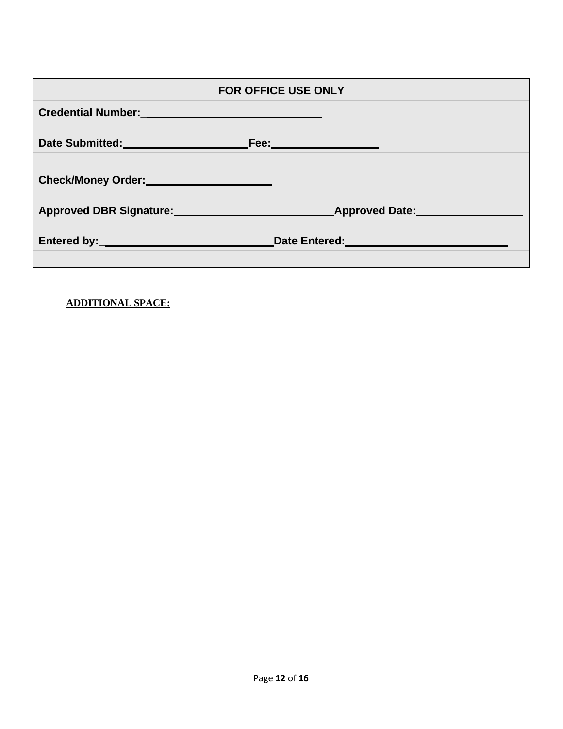| <b>FOR OFFICE USE ONLY</b>                                                                                                                                                                                                           |                                                                                                                 |  |  |
|--------------------------------------------------------------------------------------------------------------------------------------------------------------------------------------------------------------------------------------|-----------------------------------------------------------------------------------------------------------------|--|--|
| Credential Number: University of the Credential Number:                                                                                                                                                                              |                                                                                                                 |  |  |
| Date Submitted: National Property of the Submitted:                                                                                                                                                                                  | <u>Fee:__________________</u>                                                                                   |  |  |
| Check/Money Order: Check/Money Order:                                                                                                                                                                                                |                                                                                                                 |  |  |
| Approved DBR Signature: Approved Date: Approved Date:                                                                                                                                                                                |                                                                                                                 |  |  |
| Entered by: <u>Andrea Barbara and Barbara and Barbara and Barbara and Barbara and Barbara and Barbara and Barbara and Barbara and Barbara and Barbara and Barbara and Barbara and Barbara and Barbara and Barbara and Barbara an</u> | Date Entered: University of the Contract of the Contract of the Contract of the Contract of the Contract of the |  |  |

**ADDITIONAL SPACE:**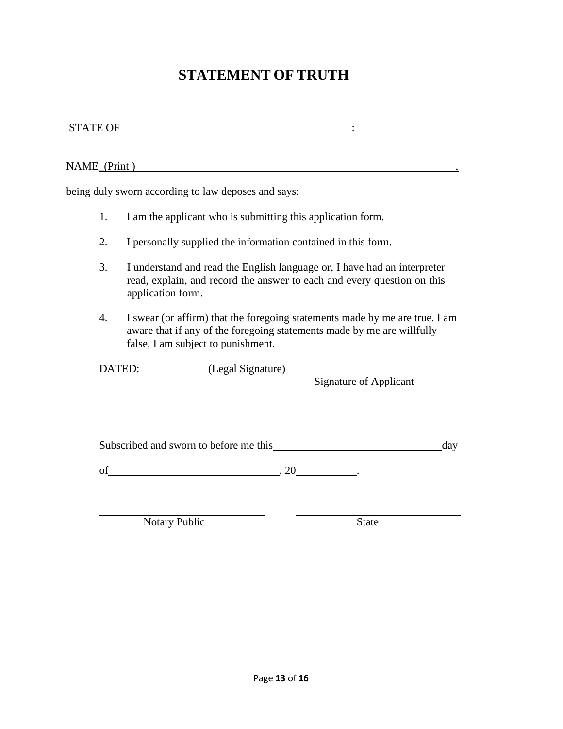# **STATEMENT OF TRUTH**

STATE OF  $\qquad \qquad \vdots$ 

NAME<sub>\_</sub>(Print)

being duly sworn according to law deposes and says:

- 1. I am the applicant who is submitting this application form.
- 2. I personally supplied the information contained in this form.
- 3. I understand and read the English language or, I have had an interpreter read, explain, and record the answer to each and every question on this application form.
- 4. I swear (or affirm) that the foregoing statements made by me are true. I am aware that if any of the foregoing statements made by me are willfully false, I am subject to punishment.

DATED: (Legal Signature)

Signature of Applicant

Subscribed and sworn to before me this day

of  $\qquad \qquad , 20$ 

Notary Public State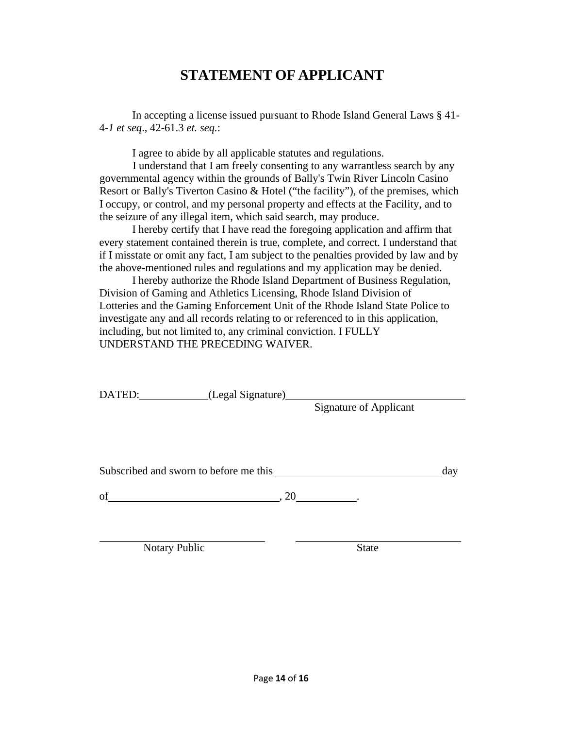# **STATEMENT OF APPLICANT**

In accepting a license issued pursuant to Rhode Island General Laws § 41- 4-*1 et seq*., 42-61.3 *et. seq.*:

I agree to abide by all applicable statutes and regulations.

I understand that I am freely consenting to any warrantless search by any governmental agency within the grounds of Bally's Twin River Lincoln Casino Resort or Bally's Tiverton Casino & Hotel ("the facility"), of the premises, which I occupy, or control, and my personal property and effects at the Facility, and to the seizure of any illegal item, which said search, may produce.

I hereby certify that I have read the foregoing application and affirm that every statement contained therein is true, complete, and correct. I understand that if I misstate or omit any fact, I am subject to the penalties provided by law and by the above-mentioned rules and regulations and my application may be denied.

I hereby authorize the Rhode Island Department of Business Regulation, Division of Gaming and Athletics Licensing, Rhode Island Division of Lotteries and the Gaming Enforcement Unit of the Rhode Island State Police to investigate any and all records relating to or referenced to in this application, including, but not limited to, any criminal conviction. I FULLY UNDERSTAND THE PRECEDING WAIVER.

| DATED:<br>(Legal Signature)            |                                 |     |
|----------------------------------------|---------------------------------|-----|
|                                        | <b>Signature of Applicant</b>   |     |
|                                        |                                 |     |
|                                        |                                 |     |
|                                        |                                 |     |
|                                        |                                 |     |
| Subscribed and sworn to before me this |                                 | day |
|                                        |                                 |     |
| of                                     | $, 20 \underline{\hspace{1cm}}$ |     |
|                                        |                                 |     |
|                                        |                                 |     |
| <b>Notary Public</b>                   | <b>State</b>                    |     |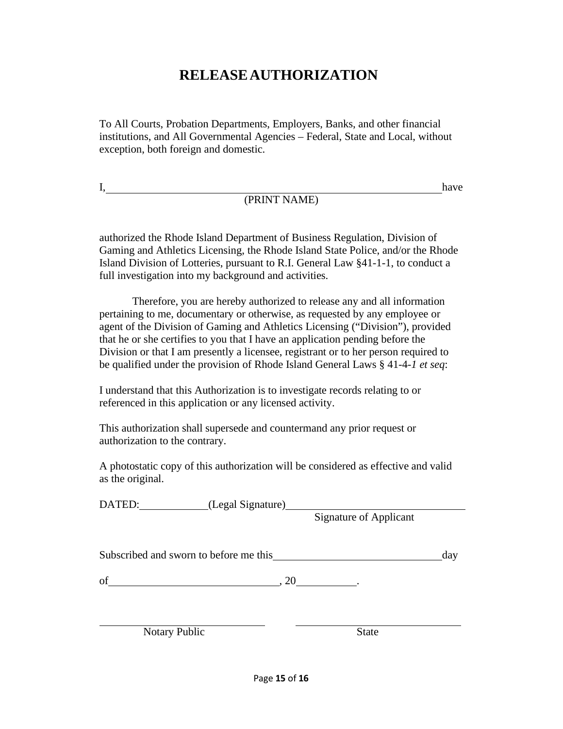# **RELEASEAUTHORIZATION**

To All Courts, Probation Departments, Employers, Banks, and other financial institutions, and All Governmental Agencies – Federal, State and Local, without exception, both foreign and domestic.

I,

(PRINT NAME)

have

authorized the Rhode Island Department of Business Regulation, Division of Gaming and Athletics Licensing, the Rhode Island State Police, and/or the Rhode Island Division of Lotteries, pursuant to R.I. General Law §41-1-1, to conduct a full investigation into my background and activities.

Therefore, you are hereby authorized to release any and all information pertaining to me, documentary or otherwise, as requested by any employee or agent of the Division of Gaming and Athletics Licensing ("Division"), provided that he or she certifies to you that I have an application pending before the Division or that I am presently a licensee, registrant or to her person required to be qualified under the provision of Rhode Island General Laws § 41-4-*1 et seq*:

I understand that this Authorization is to investigate records relating to or referenced in this application or any licensed activity.

This authorization shall supersede and countermand any prior request or authorization to the contrary.

A photostatic copy of this authorization will be considered as effective and valid as the original.

| DATED: (Legal Signature) |                                        |                               |     |
|--------------------------|----------------------------------------|-------------------------------|-----|
|                          |                                        | <b>Signature of Applicant</b> |     |
|                          |                                        |                               |     |
|                          | Subscribed and sworn to before me this |                               | day |
| of                       |                                        | , 20                          |     |
|                          |                                        |                               |     |
| <b>Notary Public</b>     |                                        | <b>State</b>                  |     |